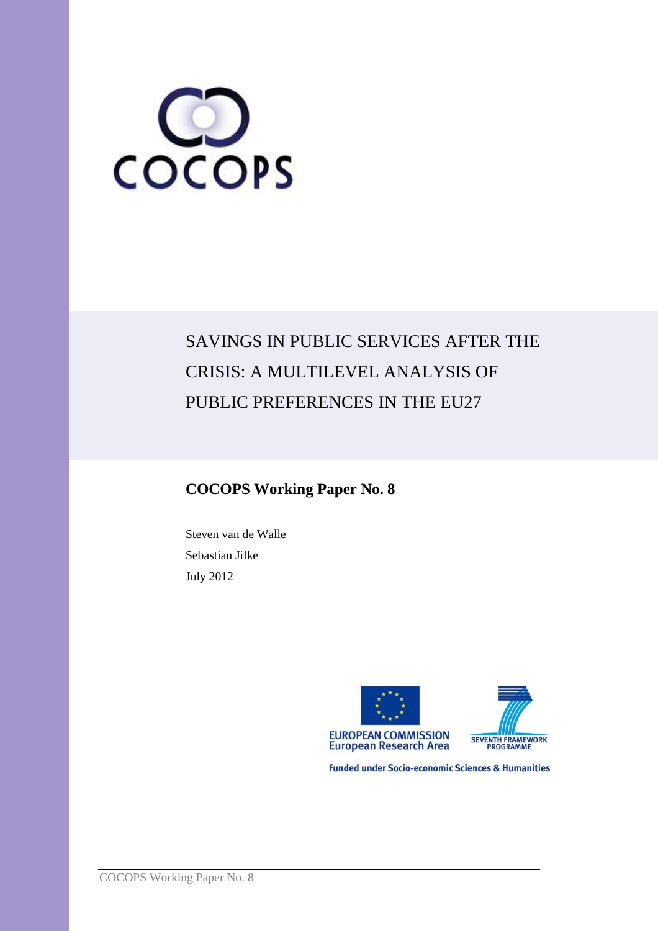

# SAVINGS IN PUBLIC SERVICES AFTER THE CRISIS: A MULTILEVEL ANALYSIS OF PUBLIC PREFERENCES IN THE EU27

# **COCOPS Working Paper No. 8**

Steven van de Walle Sebastian Jilke July 2012





**Funded under Socio-economic Sciences & Humanities**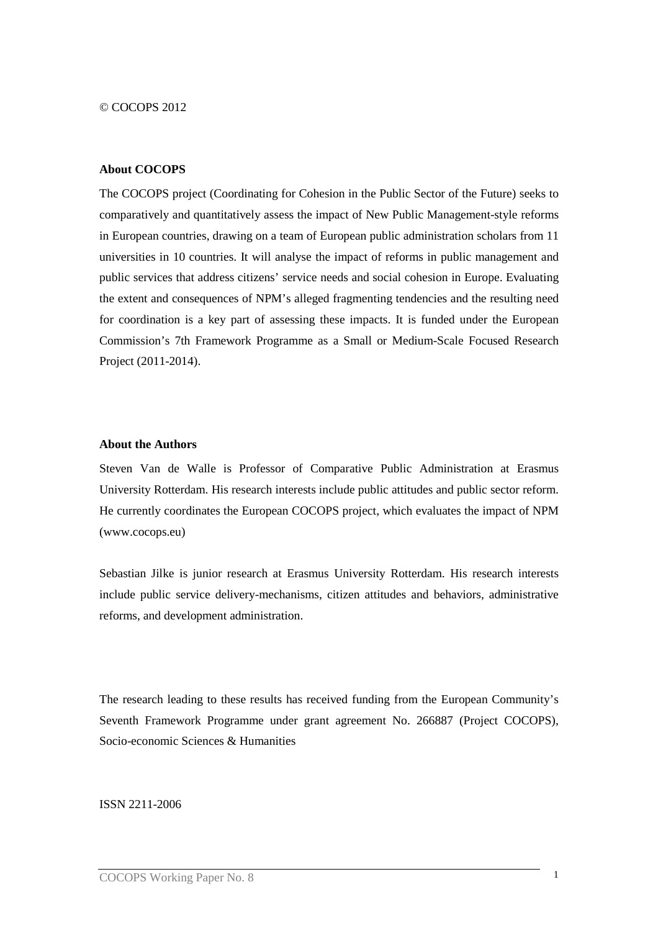© COCOPS 2012

#### **About COCOPS**

The COCOPS project (Coordinating for Cohesion in the Public Sector of the Future) seeks to comparatively and quantitatively assess the impact of New Public Management-style reforms in European countries, drawing on a team of European public administration scholars from 11 universities in 10 countries. It will analyse the impact of reforms in public management and public services that address citizens' service needs and social cohesion in Europe. Evaluating the extent and consequences of NPM's alleged fragmenting tendencies and the resulting need for coordination is a key part of assessing these impacts. It is funded under the European Commission's 7th Framework Programme as a Small or Medium-Scale Focused Research Project (2011-2014).

#### **About the Authors**

Steven Van de Walle is Professor of Comparative Public Administration at Erasmus University Rotterdam. His research interests include public attitudes and public sector reform. He currently coordinates the European COCOPS project, which evaluates the impact of NPM (www.cocops.eu)

Sebastian Jilke is junior research at Erasmus University Rotterdam. His research interests include public service delivery-mechanisms, citizen attitudes and behaviors, administrative reforms, and development administration.

The research leading to these results has received funding from the European Community's Seventh Framework Programme under grant agreement No. 266887 (Project COCOPS), Socio-economic Sciences & Humanities

ISSN 2211-2006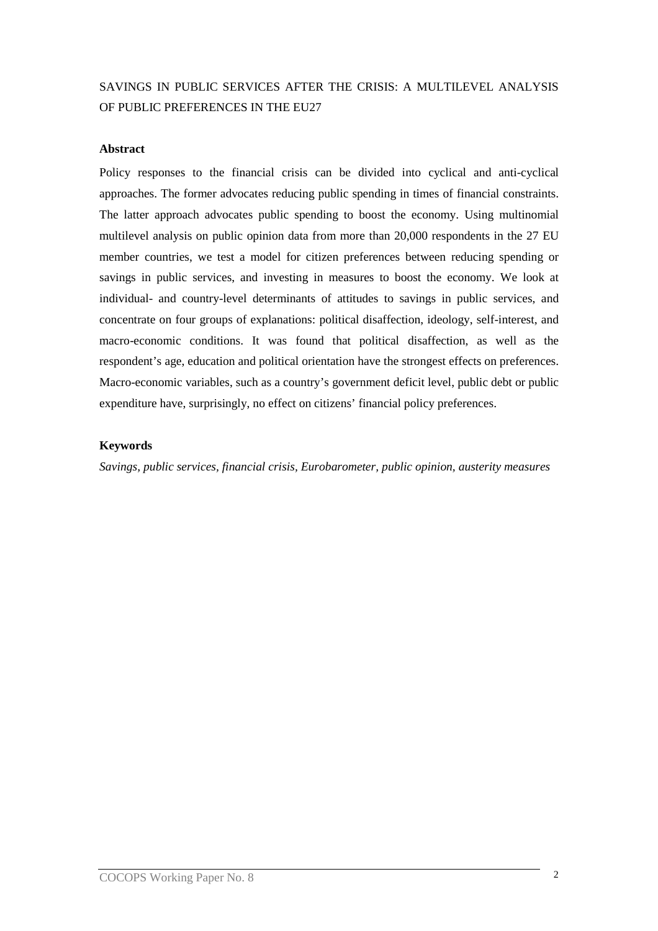# SAVINGS IN PUBLIC SERVICES AFTER THE CRISIS: A MULTILEVEL ANALYSIS OF PUBLIC PREFERENCES IN THE EU27

## **Abstract**

Policy responses to the financial crisis can be divided into cyclical and anti-cyclical approaches. The former advocates reducing public spending in times of financial constraints. The latter approach advocates public spending to boost the economy. Using multinomial multilevel analysis on public opinion data from more than 20,000 respondents in the 27 EU member countries, we test a model for citizen preferences between reducing spending or savings in public services, and investing in measures to boost the economy. We look at individual- and country-level determinants of attitudes to savings in public services, and concentrate on four groups of explanations: political disaffection, ideology, self-interest, and macro-economic conditions. It was found that political disaffection, as well as the respondent's age, education and political orientation have the strongest effects on preferences. Macro-economic variables, such as a country's government deficit level, public debt or public expenditure have, surprisingly, no effect on citizens' financial policy preferences.

## **Keywords**

*Savings, public services, financial crisis, Eurobarometer, public opinion, austerity measures*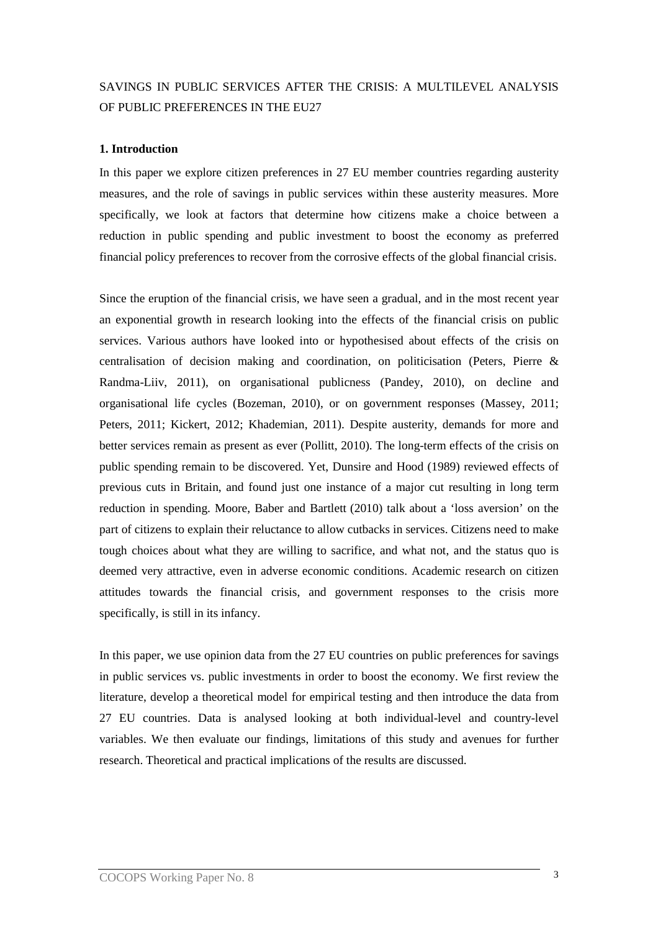# SAVINGS IN PUBLIC SERVICES AFTER THE CRISIS: A MULTILEVEL ANALYSIS OF PUBLIC PREFERENCES IN THE EU27

## **1. Introduction**

In this paper we explore citizen preferences in 27 EU member countries regarding austerity measures, and the role of savings in public services within these austerity measures. More specifically, we look at factors that determine how citizens make a choice between a reduction in public spending and public investment to boost the economy as preferred financial policy preferences to recover from the corrosive effects of the global financial crisis.

Since the eruption of the financial crisis, we have seen a gradual, and in the most recent year an exponential growth in research looking into the effects of the financial crisis on public services. Various authors have looked into or hypothesised about effects of the crisis on centralisation of decision making and coordination, on politicisation (Peters, Pierre & Randma-Liiv, 2011), on organisational publicness (Pandey, 2010), on decline and organisational life cycles (Bozeman, 2010), or on government responses (Massey, 2011; Peters, 2011; Kickert, 2012; Khademian, 2011). Despite austerity, demands for more and better services remain as present as ever (Pollitt, 2010). The long-term effects of the crisis on public spending remain to be discovered. Yet, Dunsire and Hood (1989) reviewed effects of previous cuts in Britain, and found just one instance of a major cut resulting in long term reduction in spending. Moore, Baber and Bartlett (2010) talk about a 'loss aversion' on the part of citizens to explain their reluctance to allow cutbacks in services. Citizens need to make tough choices about what they are willing to sacrifice, and what not, and the status quo is deemed very attractive, even in adverse economic conditions. Academic research on citizen attitudes towards the financial crisis, and government responses to the crisis more specifically, is still in its infancy.

In this paper, we use opinion data from the 27 EU countries on public preferences for savings in public services vs. public investments in order to boost the economy. We first review the literature, develop a theoretical model for empirical testing and then introduce the data from 27 EU countries. Data is analysed looking at both individual-level and country-level variables. We then evaluate our findings, limitations of this study and avenues for further research. Theoretical and practical implications of the results are discussed.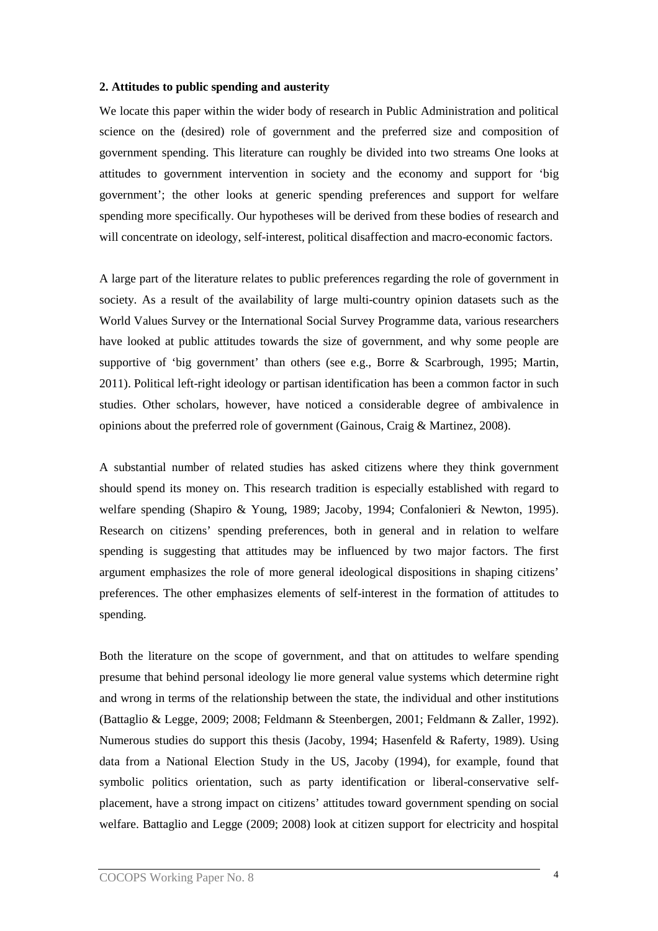#### **2. Attitudes to public spending and austerity**

We locate this paper within the wider body of research in Public Administration and political science on the (desired) role of government and the preferred size and composition of government spending. This literature can roughly be divided into two streams One looks at attitudes to government intervention in society and the economy and support for 'big government'; the other looks at generic spending preferences and support for welfare spending more specifically. Our hypotheses will be derived from these bodies of research and will concentrate on ideology, self-interest, political disaffection and macro-economic factors.

A large part of the literature relates to public preferences regarding the role of government in society. As a result of the availability of large multi-country opinion datasets such as the World Values Survey or the International Social Survey Programme data, various researchers have looked at public attitudes towards the size of government, and why some people are supportive of 'big government' than others (see e.g., Borre & Scarbrough, 1995; Martin, 2011). Political left-right ideology or partisan identification has been a common factor in such studies. Other scholars, however, have noticed a considerable degree of ambivalence in opinions about the preferred role of government (Gainous, Craig & Martinez, 2008).

A substantial number of related studies has asked citizens where they think government should spend its money on. This research tradition is especially established with regard to welfare spending (Shapiro & Young, 1989; Jacoby, 1994; Confalonieri & Newton, 1995). Research on citizens' spending preferences, both in general and in relation to welfare spending is suggesting that attitudes may be influenced by two major factors. The first argument emphasizes the role of more general ideological dispositions in shaping citizens' preferences. The other emphasizes elements of self-interest in the formation of attitudes to spending.

Both the literature on the scope of government, and that on attitudes to welfare spending presume that behind personal ideology lie more general value systems which determine right and wrong in terms of the relationship between the state, the individual and other institutions (Battaglio & Legge, 2009; 2008; Feldmann & Steenbergen, 2001; Feldmann & Zaller, 1992). Numerous studies do support this thesis (Jacoby, 1994; Hasenfeld & Raferty, 1989). Using data from a National Election Study in the US, Jacoby (1994), for example, found that symbolic politics orientation, such as party identification or liberal-conservative selfplacement, have a strong impact on citizens' attitudes toward government spending on social welfare. Battaglio and Legge (2009; 2008) look at citizen support for electricity and hospital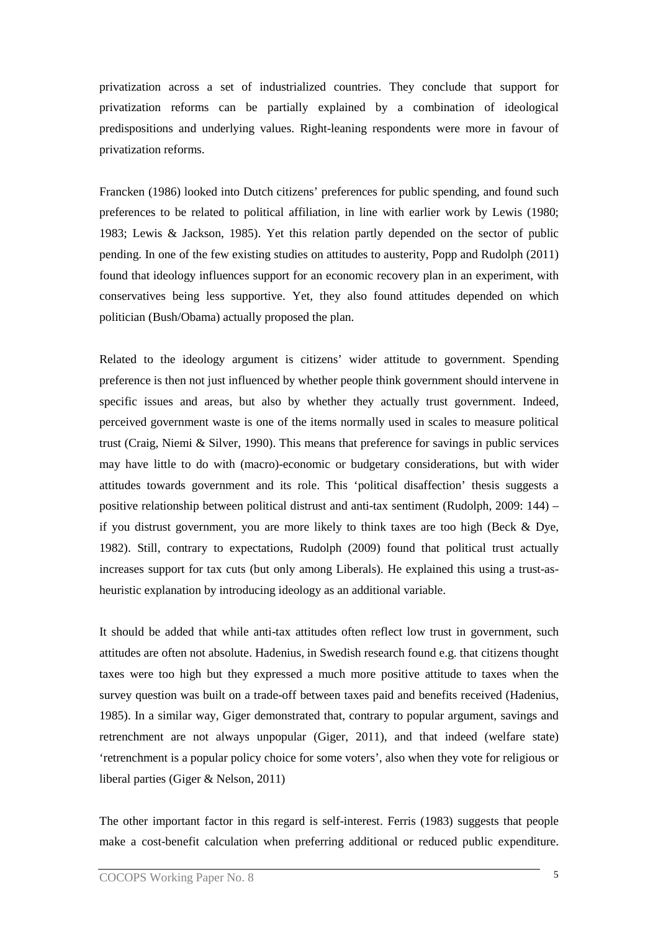privatization across a set of industrialized countries. They conclude that support for privatization reforms can be partially explained by a combination of ideological predispositions and underlying values. Right-leaning respondents were more in favour of privatization reforms.

Francken (1986) looked into Dutch citizens' preferences for public spending, and found such preferences to be related to political affiliation, in line with earlier work by Lewis (1980; 1983; Lewis & Jackson, 1985). Yet this relation partly depended on the sector of public pending. In one of the few existing studies on attitudes to austerity, Popp and Rudolph (2011) found that ideology influences support for an economic recovery plan in an experiment, with conservatives being less supportive. Yet, they also found attitudes depended on which politician (Bush/Obama) actually proposed the plan.

Related to the ideology argument is citizens' wider attitude to government. Spending preference is then not just influenced by whether people think government should intervene in specific issues and areas, but also by whether they actually trust government. Indeed, perceived government waste is one of the items normally used in scales to measure political trust (Craig, Niemi & Silver, 1990). This means that preference for savings in public services may have little to do with (macro)-economic or budgetary considerations, but with wider attitudes towards government and its role. This 'political disaffection' thesis suggests a positive relationship between political distrust and anti-tax sentiment (Rudolph, 2009: 144) – if you distrust government, you are more likely to think taxes are too high (Beck  $\&$  Dye, 1982). Still, contrary to expectations, Rudolph (2009) found that political trust actually increases support for tax cuts (but only among Liberals). He explained this using a trust-asheuristic explanation by introducing ideology as an additional variable.

It should be added that while anti-tax attitudes often reflect low trust in government, such attitudes are often not absolute. Hadenius, in Swedish research found e.g. that citizens thought taxes were too high but they expressed a much more positive attitude to taxes when the survey question was built on a trade-off between taxes paid and benefits received (Hadenius, 1985). In a similar way, Giger demonstrated that, contrary to popular argument, savings and retrenchment are not always unpopular (Giger, 2011), and that indeed (welfare state) 'retrenchment is a popular policy choice for some voters', also when they vote for religious or liberal parties (Giger & Nelson, 2011)

The other important factor in this regard is self-interest. Ferris (1983) suggests that people make a cost-benefit calculation when preferring additional or reduced public expenditure.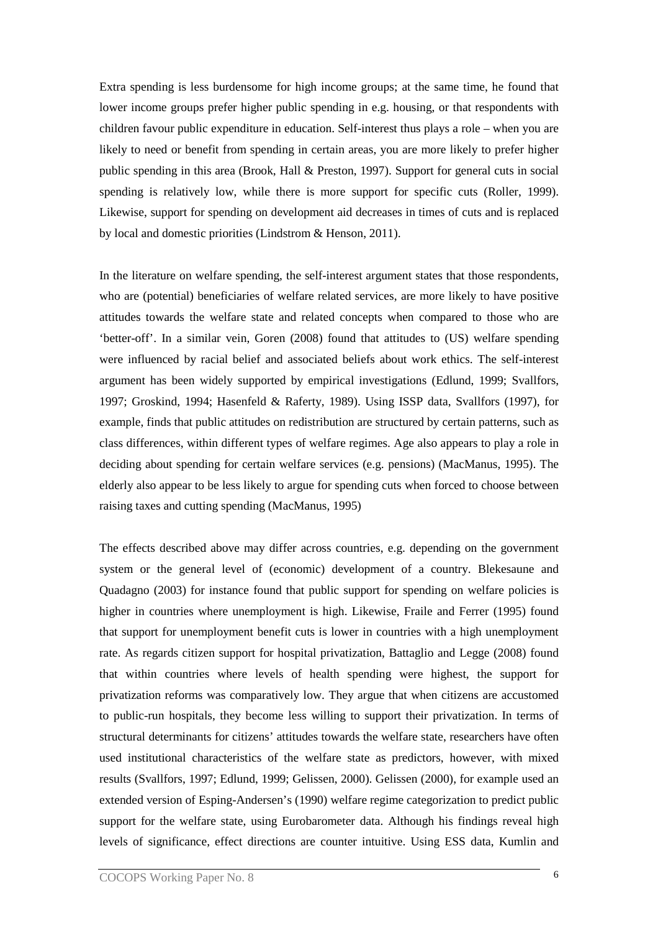Extra spending is less burdensome for high income groups; at the same time, he found that lower income groups prefer higher public spending in e.g. housing, or that respondents with children favour public expenditure in education. Self-interest thus plays a role – when you are likely to need or benefit from spending in certain areas, you are more likely to prefer higher public spending in this area (Brook, Hall & Preston, 1997). Support for general cuts in social spending is relatively low, while there is more support for specific cuts (Roller, 1999). Likewise, support for spending on development aid decreases in times of cuts and is replaced by local and domestic priorities (Lindstrom & Henson, 2011).

In the literature on welfare spending, the self-interest argument states that those respondents, who are (potential) beneficiaries of welfare related services, are more likely to have positive attitudes towards the welfare state and related concepts when compared to those who are 'better-off'. In a similar vein, Goren (2008) found that attitudes to (US) welfare spending were influenced by racial belief and associated beliefs about work ethics. The self-interest argument has been widely supported by empirical investigations (Edlund, 1999; Svallfors, 1997; Groskind, 1994; Hasenfeld & Raferty, 1989). Using ISSP data, Svallfors (1997), for example, finds that public attitudes on redistribution are structured by certain patterns, such as class differences, within different types of welfare regimes. Age also appears to play a role in deciding about spending for certain welfare services (e.g. pensions) (MacManus, 1995). The elderly also appear to be less likely to argue for spending cuts when forced to choose between raising taxes and cutting spending (MacManus, 1995)

The effects described above may differ across countries, e.g. depending on the government system or the general level of (economic) development of a country. Blekesaune and Quadagno (2003) for instance found that public support for spending on welfare policies is higher in countries where unemployment is high. Likewise, Fraile and Ferrer (1995) found that support for unemployment benefit cuts is lower in countries with a high unemployment rate. As regards citizen support for hospital privatization, Battaglio and Legge (2008) found that within countries where levels of health spending were highest, the support for privatization reforms was comparatively low. They argue that when citizens are accustomed to public-run hospitals, they become less willing to support their privatization. In terms of structural determinants for citizens' attitudes towards the welfare state, researchers have often used institutional characteristics of the welfare state as predictors, however, with mixed results (Svallfors, 1997; Edlund, 1999; Gelissen, 2000). Gelissen (2000), for example used an extended version of Esping-Andersen's (1990) welfare regime categorization to predict public support for the welfare state, using Eurobarometer data. Although his findings reveal high levels of significance, effect directions are counter intuitive. Using ESS data, Kumlin and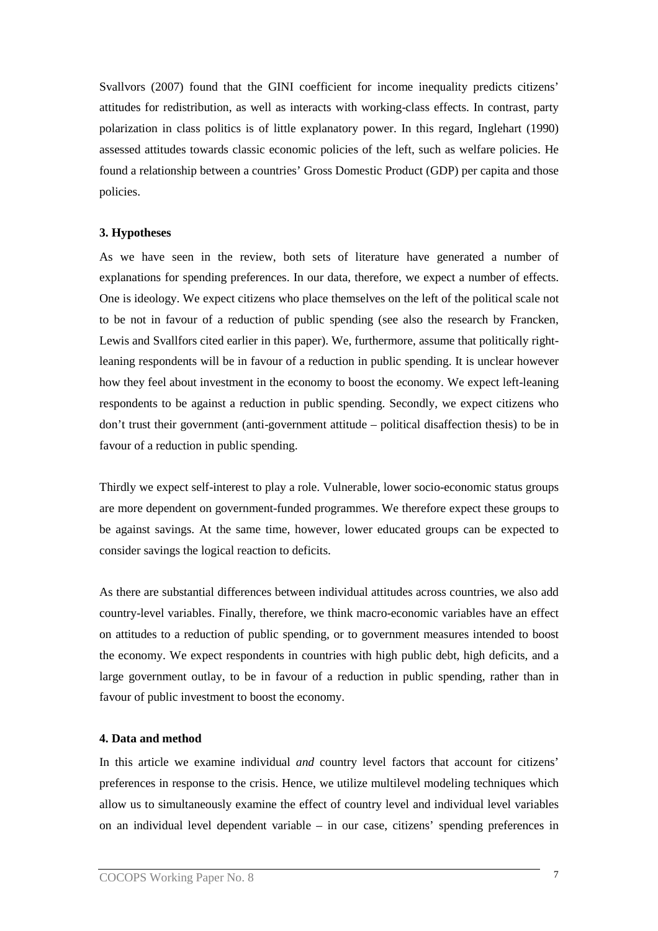Svallvors (2007) found that the GINI coefficient for income inequality predicts citizens' attitudes for redistribution, as well as interacts with working-class effects. In contrast, party polarization in class politics is of little explanatory power. In this regard, Inglehart (1990) assessed attitudes towards classic economic policies of the left, such as welfare policies. He found a relationship between a countries' Gross Domestic Product (GDP) per capita and those policies.

# **3. Hypotheses**

As we have seen in the review, both sets of literature have generated a number of explanations for spending preferences. In our data, therefore, we expect a number of effects. One is ideology. We expect citizens who place themselves on the left of the political scale not to be not in favour of a reduction of public spending (see also the research by Francken, Lewis and Svallfors cited earlier in this paper). We, furthermore, assume that politically rightleaning respondents will be in favour of a reduction in public spending. It is unclear however how they feel about investment in the economy to boost the economy. We expect left-leaning respondents to be against a reduction in public spending. Secondly, we expect citizens who don't trust their government (anti-government attitude – political disaffection thesis) to be in favour of a reduction in public spending.

Thirdly we expect self-interest to play a role. Vulnerable, lower socio-economic status groups are more dependent on government-funded programmes. We therefore expect these groups to be against savings. At the same time, however, lower educated groups can be expected to consider savings the logical reaction to deficits.

As there are substantial differences between individual attitudes across countries, we also add country-level variables. Finally, therefore, we think macro-economic variables have an effect on attitudes to a reduction of public spending, or to government measures intended to boost the economy. We expect respondents in countries with high public debt, high deficits, and a large government outlay, to be in favour of a reduction in public spending, rather than in favour of public investment to boost the economy.

# **4. Data and method**

In this article we examine individual *and* country level factors that account for citizens' preferences in response to the crisis. Hence, we utilize multilevel modeling techniques which allow us to simultaneously examine the effect of country level and individual level variables on an individual level dependent variable – in our case, citizens' spending preferences in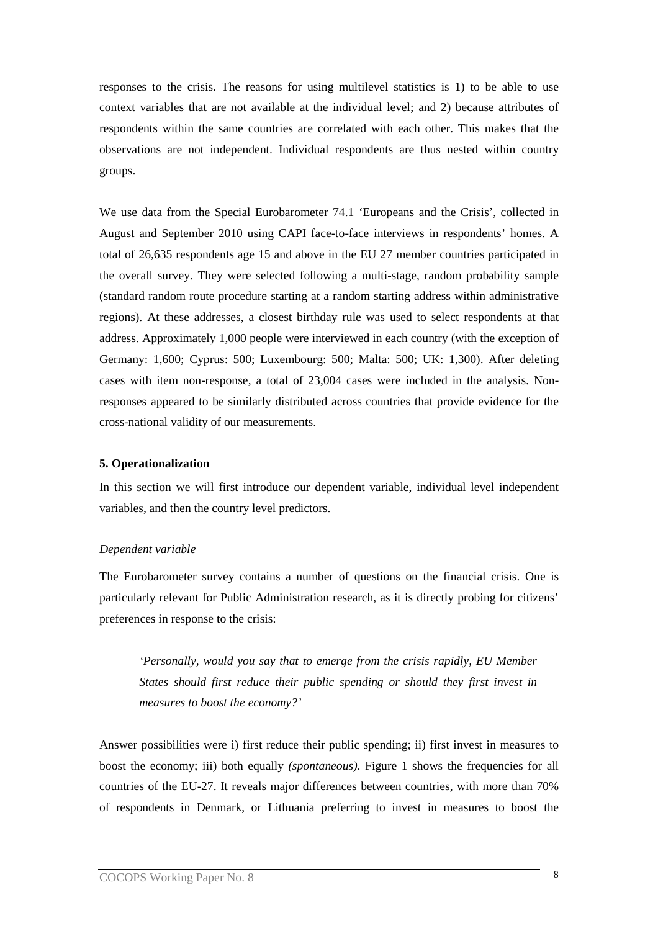responses to the crisis. The reasons for using multilevel statistics is 1) to be able to use context variables that are not available at the individual level; and 2) because attributes of respondents within the same countries are correlated with each other. This makes that the observations are not independent. Individual respondents are thus nested within country groups.

We use data from the Special Eurobarometer 74.1 'Europeans and the Crisis', collected in August and September 2010 using CAPI face-to-face interviews in respondents' homes. A total of 26,635 respondents age 15 and above in the EU 27 member countries participated in the overall survey. They were selected following a multi-stage, random probability sample (standard random route procedure starting at a random starting address within administrative regions). At these addresses, a closest birthday rule was used to select respondents at that address. Approximately 1,000 people were interviewed in each country (with the exception of Germany: 1,600; Cyprus: 500; Luxembourg: 500; Malta: 500; UK: 1,300). After deleting cases with item non-response, a total of 23,004 cases were included in the analysis. Nonresponses appeared to be similarly distributed across countries that provide evidence for the cross-national validity of our measurements.

#### **5. Operationalization**

In this section we will first introduce our dependent variable, individual level independent variables, and then the country level predictors.

#### *Dependent variable*

The Eurobarometer survey contains a number of questions on the financial crisis. One is particularly relevant for Public Administration research, as it is directly probing for citizens' preferences in response to the crisis:

*'Personally, would you say that to emerge from the crisis rapidly, EU Member States should first reduce their public spending or should they first invest in measures to boost the economy?'* 

Answer possibilities were i) first reduce their public spending; ii) first invest in measures to boost the economy; iii) both equally *(spontaneous)*. Figure 1 shows the frequencies for all countries of the EU-27. It reveals major differences between countries, with more than 70% of respondents in Denmark, or Lithuania preferring to invest in measures to boost the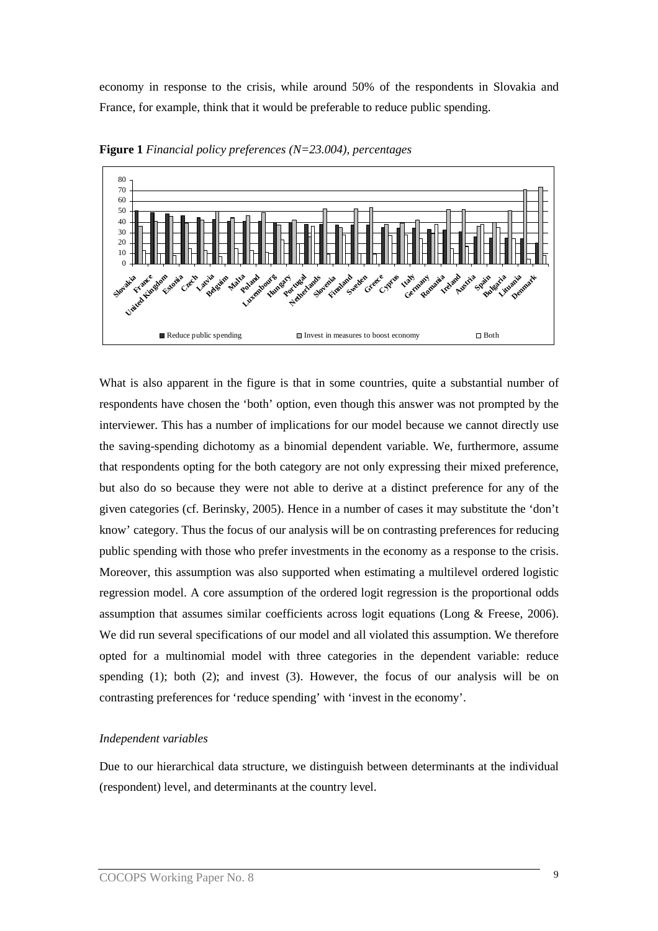economy in response to the crisis, while around 50% of the respondents in Slovakia and France, for example, think that it would be preferable to reduce public spending.



**Figure 1** *Financial policy preferences (N=23.004), percentages*

What is also apparent in the figure is that in some countries, quite a substantial number of respondents have chosen the 'both' option, even though this answer was not prompted by the interviewer. This has a number of implications for our model because we cannot directly use the saving-spending dichotomy as a binomial dependent variable. We, furthermore, assume that respondents opting for the both category are not only expressing their mixed preference, but also do so because they were not able to derive at a distinct preference for any of the given categories (cf. Berinsky, 2005). Hence in a number of cases it may substitute the 'don't know' category. Thus the focus of our analysis will be on contrasting preferences for reducing public spending with those who prefer investments in the economy as a response to the crisis. Moreover, this assumption was also supported when estimating a multilevel ordered logistic regression model. A core assumption of the ordered logit regression is the proportional odds assumption that assumes similar coefficients across logit equations (Long & Freese, 2006). We did run several specifications of our model and all violated this assumption. We therefore opted for a multinomial model with three categories in the dependent variable: reduce spending (1); both (2); and invest (3). However, the focus of our analysis will be on contrasting preferences for 'reduce spending' with 'invest in the economy'.

# *Independent variables*

Due to our hierarchical data structure, we distinguish between determinants at the individual (respondent) level, and determinants at the country level.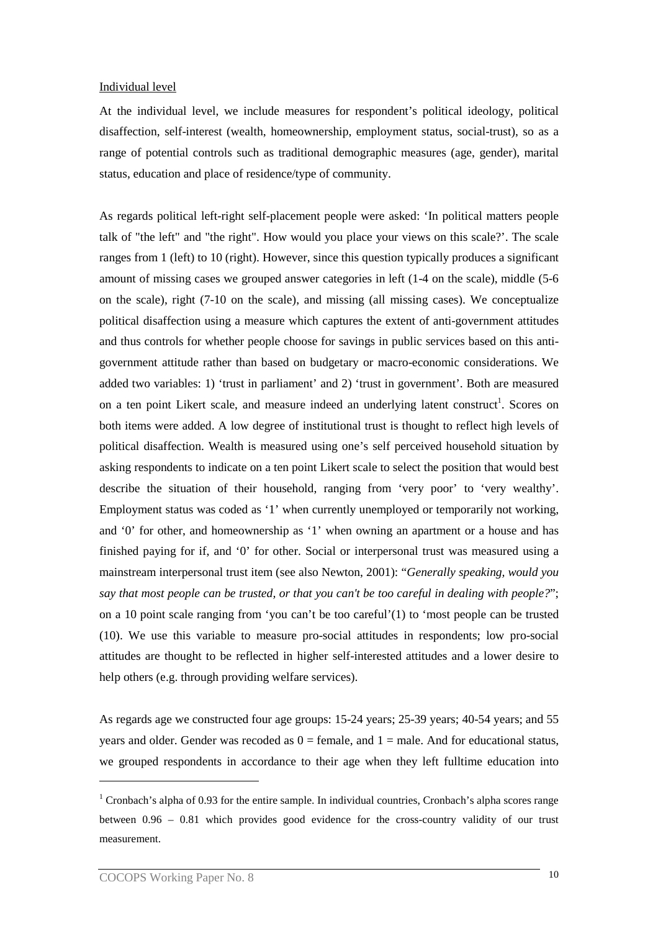#### Individual level

At the individual level, we include measures for respondent's political ideology, political disaffection, self-interest (wealth, homeownership, employment status, social-trust), so as a range of potential controls such as traditional demographic measures (age, gender), marital status, education and place of residence/type of community.

As regards political left-right self-placement people were asked: 'In political matters people talk of "the left" and "the right". How would you place your views on this scale?'. The scale ranges from 1 (left) to 10 (right). However, since this question typically produces a significant amount of missing cases we grouped answer categories in left (1-4 on the scale), middle (5-6 on the scale), right (7-10 on the scale), and missing (all missing cases). We conceptualize political disaffection using a measure which captures the extent of anti-government attitudes and thus controls for whether people choose for savings in public services based on this antigovernment attitude rather than based on budgetary or macro-economic considerations. We added two variables: 1) 'trust in parliament' and 2) 'trust in government'. Both are measured on a ten point Likert scale, and measure indeed an underlying latent construct<sup>1</sup>. Scores on both items were added. A low degree of institutional trust is thought to reflect high levels of political disaffection. Wealth is measured using one's self perceived household situation by asking respondents to indicate on a ten point Likert scale to select the position that would best describe the situation of their household, ranging from 'very poor' to 'very wealthy'. Employment status was coded as '1' when currently unemployed or temporarily not working, and '0' for other, and homeownership as '1' when owning an apartment or a house and has finished paying for if, and '0' for other. Social or interpersonal trust was measured using a mainstream interpersonal trust item (see also Newton, 2001): "*Generally speaking, would you say that most people can be trusted, or that you can't be too careful in dealing with people?*"; on a 10 point scale ranging from 'you can't be too careful'(1) to 'most people can be trusted (10). We use this variable to measure pro-social attitudes in respondents; low pro-social attitudes are thought to be reflected in higher self-interested attitudes and a lower desire to help others (e.g. through providing welfare services).

As regards age we constructed four age groups: 15-24 years; 25-39 years; 40-54 years; and 55 years and older. Gender was recoded as  $0 =$  female, and  $1 =$  male. And for educational status, we grouped respondents in accordance to their age when they left fulltime education into

 $\overline{a}$ 

<sup>&</sup>lt;sup>1</sup> Cronbach's alpha of 0.93 for the entire sample. In individual countries, Cronbach's alpha scores range between 0.96 – 0.81 which provides good evidence for the cross-country validity of our trust measurement.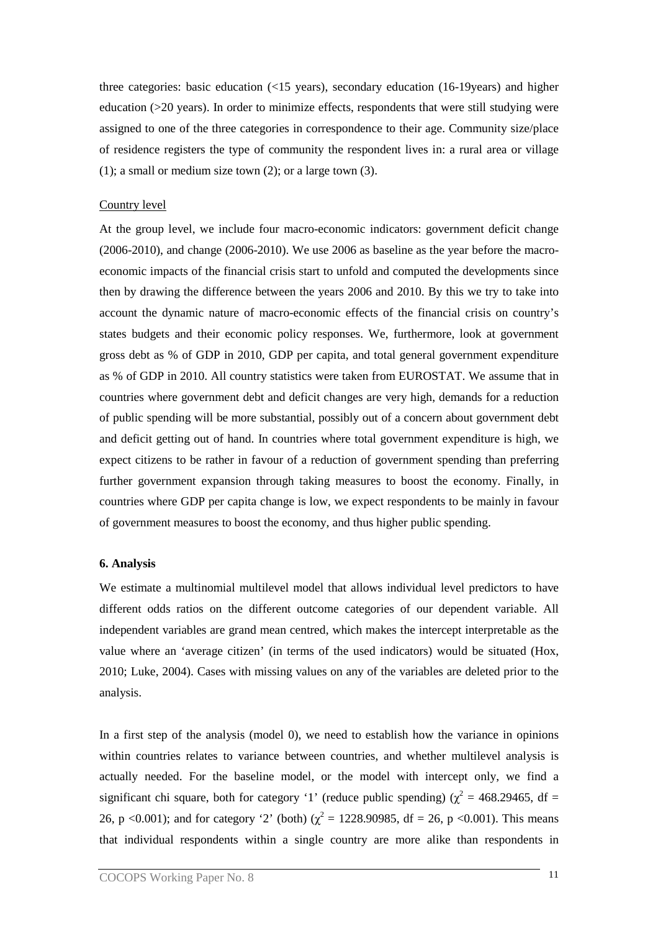three categories: basic education (<15 years), secondary education (16-19years) and higher education  $(20 \text{ years})$ . In order to minimize effects, respondents that were still studying were assigned to one of the three categories in correspondence to their age. Community size/place of residence registers the type of community the respondent lives in: a rural area or village (1); a small or medium size town (2); or a large town (3).

#### Country level

At the group level, we include four macro-economic indicators: government deficit change (2006-2010), and change (2006-2010). We use 2006 as baseline as the year before the macroeconomic impacts of the financial crisis start to unfold and computed the developments since then by drawing the difference between the years 2006 and 2010. By this we try to take into account the dynamic nature of macro-economic effects of the financial crisis on country's states budgets and their economic policy responses. We, furthermore, look at government gross debt as % of GDP in 2010, GDP per capita, and total general government expenditure as % of GDP in 2010. All country statistics were taken from EUROSTAT. We assume that in countries where government debt and deficit changes are very high, demands for a reduction of public spending will be more substantial, possibly out of a concern about government debt and deficit getting out of hand. In countries where total government expenditure is high, we expect citizens to be rather in favour of a reduction of government spending than preferring further government expansion through taking measures to boost the economy. Finally, in countries where GDP per capita change is low, we expect respondents to be mainly in favour of government measures to boost the economy, and thus higher public spending.

#### **6. Analysis**

We estimate a multinomial multilevel model that allows individual level predictors to have different odds ratios on the different outcome categories of our dependent variable. All independent variables are grand mean centred, which makes the intercept interpretable as the value where an 'average citizen' (in terms of the used indicators) would be situated (Hox, 2010; Luke, 2004). Cases with missing values on any of the variables are deleted prior to the analysis.

In a first step of the analysis (model 0), we need to establish how the variance in opinions within countries relates to variance between countries, and whether multilevel analysis is actually needed. For the baseline model, or the model with intercept only, we find a significant chi square, both for category '1' (reduce public spending) ( $\chi^2$  = 468.29465, df = 26, p <0.001); and for category '2' (both) ( $\chi^2$  = 1228.90985, df = 26, p <0.001). This means that individual respondents within a single country are more alike than respondents in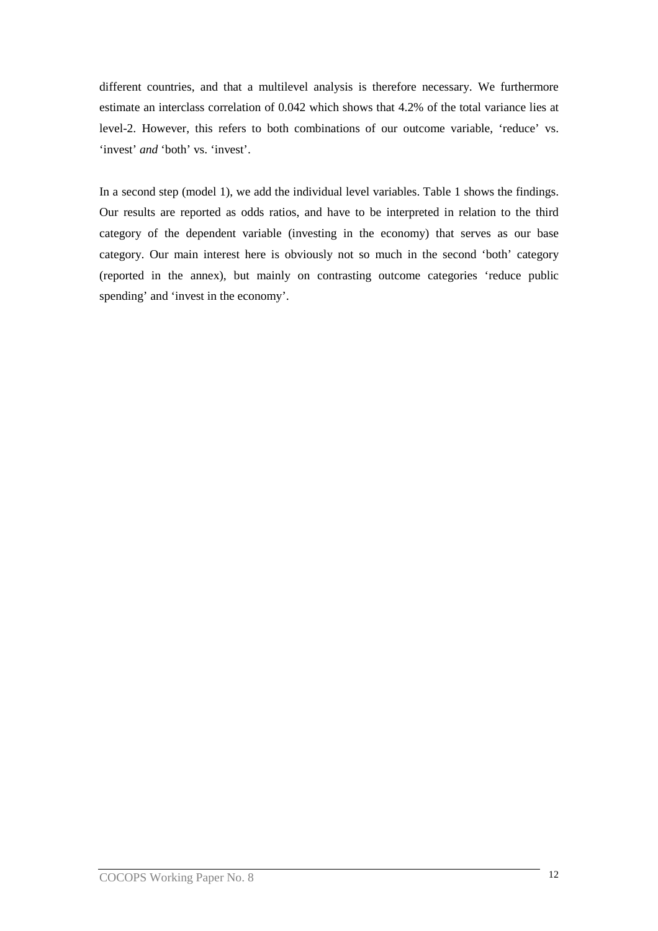different countries, and that a multilevel analysis is therefore necessary. We furthermore estimate an interclass correlation of 0.042 which shows that 4.2% of the total variance lies at level-2. However, this refers to both combinations of our outcome variable, 'reduce' vs. 'invest' *and* 'both' vs. 'invest'.

In a second step (model 1), we add the individual level variables. Table 1 shows the findings. Our results are reported as odds ratios, and have to be interpreted in relation to the third category of the dependent variable (investing in the economy) that serves as our base category. Our main interest here is obviously not so much in the second 'both' category (reported in the annex), but mainly on contrasting outcome categories 'reduce public spending' and 'invest in the economy'.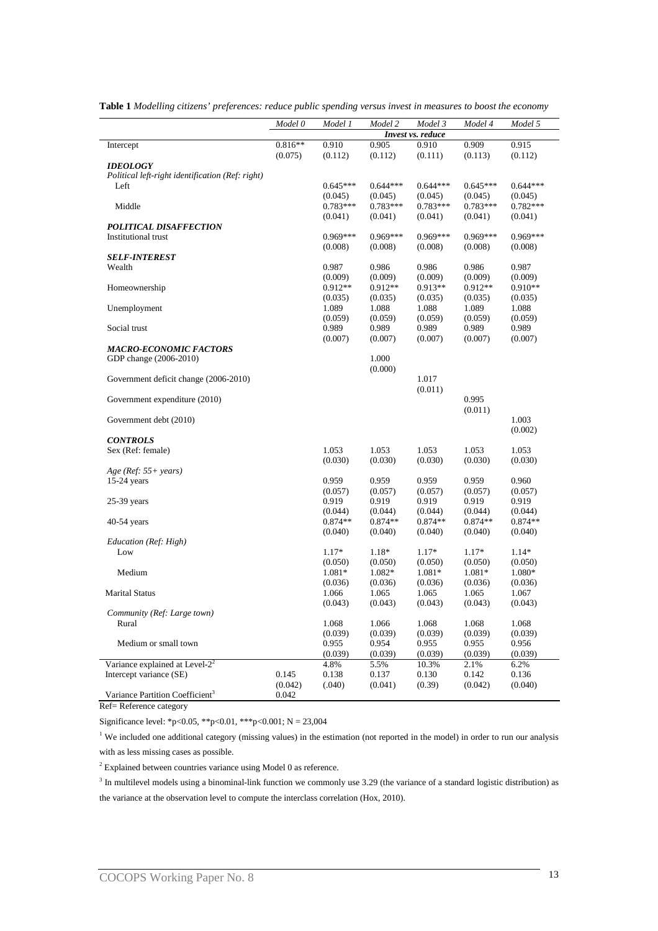|                                                  | Model 0   | Model 1    | Model 2    | Model 3           | Model 4    | Model 5    |
|--------------------------------------------------|-----------|------------|------------|-------------------|------------|------------|
|                                                  |           |            |            | Invest vs. reduce |            |            |
| Intercept                                        | $0.816**$ | 0.910      | 0.905      | 0.910             | 0.909      | 0.915      |
|                                                  | (0.075)   | (0.112)    | (0.112)    | (0.111)           | (0.113)    | (0.112)    |
| <b>IDEOLOGY</b>                                  |           |            |            |                   |            |            |
| Political left-right identification (Ref: right) |           |            |            |                   |            |            |
| Left                                             |           | $0.645***$ | $0.644***$ | $0.644***$        | $0.645***$ | $0.644***$ |
|                                                  |           | (0.045)    | (0.045)    | (0.045)           | (0.045)    | (0.045)    |
| Middle                                           |           | $0.783***$ | $0.783***$ | $0.783***$        | $0.783***$ | $0.782***$ |
|                                                  |           | (0.041)    | (0.041)    | (0.041)           | (0.041)    | (0.041)    |
| POLITICAL DISAFFECTION                           |           |            |            |                   |            |            |
| Institutional trust                              |           | $0.969***$ | $0.969***$ | $0.969***$        | $0.969***$ | $0.969***$ |
|                                                  |           | (0.008)    | (0.008)    | (0.008)           | (0.008)    | (0.008)    |
| <b>SELF-INTEREST</b>                             |           |            |            |                   |            |            |
| Wealth                                           |           | 0.987      | 0.986      | 0.986             | 0.986      |            |
|                                                  |           |            |            |                   |            | 0.987      |
|                                                  |           | (0.009)    | (0.009)    | (0.009)           | (0.009)    | (0.009)    |
| Homeownership                                    |           | $0.912**$  | $0.912**$  | $0.913**$         | $0.912**$  | $0.910**$  |
|                                                  |           | (0.035)    | (0.035)    | (0.035)           | (0.035)    | (0.035)    |
| Unemployment                                     |           | 1.089      | 1.088      | 1.088             | 1.089      | 1.088      |
|                                                  |           | (0.059)    | (0.059)    | (0.059)           | (0.059)    | (0.059)    |
| Social trust                                     |           | 0.989      | 0.989      | 0.989             | 0.989      | 0.989      |
|                                                  |           | (0.007)    | (0.007)    | (0.007)           | (0.007)    | (0.007)    |
| <b>MACRO-ECONOMIC FACTORS</b>                    |           |            |            |                   |            |            |
| GDP change (2006-2010)                           |           |            | 1.000      |                   |            |            |
|                                                  |           |            | (0.000)    |                   |            |            |
| Government deficit change (2006-2010)            |           |            |            | 1.017             |            |            |
|                                                  |           |            |            | (0.011)           |            |            |
| Government expenditure (2010)                    |           |            |            |                   | 0.995      |            |
|                                                  |           |            |            |                   | (0.011)    |            |
|                                                  |           |            |            |                   |            |            |
| Government debt (2010)                           |           |            |            |                   |            | 1.003      |
|                                                  |           |            |            |                   |            | (0.002)    |
| <b>CONTROLS</b>                                  |           |            |            |                   |            |            |
| Sex (Ref: female)                                |           | 1.053      | 1.053      | 1.053             | 1.053      | 1.053      |
|                                                  |           | (0.030)    | (0.030)    | (0.030)           | (0.030)    | (0.030)    |
| $Age (Ref: 55 + years)$                          |           |            |            |                   |            |            |
| 15-24 years                                      |           | 0.959      | 0.959      | 0.959             | 0.959      | 0.960      |
|                                                  |           | (0.057)    | (0.057)    | (0.057)           | (0.057)    | (0.057)    |
| $25-39$ years                                    |           | 0.919      | 0.919      | 0.919             | 0.919      | 0.919      |
|                                                  |           | (0.044)    | (0.044)    | (0.044)           | (0.044)    | (0.044)    |
| $40-54$ years                                    |           | $0.874**$  | $0.874**$  | $0.874**$         | $0.874**$  | $0.874**$  |
|                                                  |           | (0.040)    | (0.040)    | (0.040)           | (0.040)    | (0.040)    |
| Education (Ref: High)                            |           |            |            |                   |            |            |
| Low                                              |           | $1.17*$    | $1.18*$    | $1.17*$           | $1.17*$    | $1.14*$    |
|                                                  |           | (0.050)    | (0.050)    | (0.050)           | (0.050)    | (0.050)    |
| Medium                                           |           | 1.081*     | 1.082*     | 1.081*            | 1.081*     | 1.080*     |
|                                                  |           | (0.036)    | (0.036)    | (0.036)           | (0.036)    | (0.036)    |
| <b>Marital Status</b>                            |           | 1.066      | 1.065      | 1.065             | 1.065      | 1.067      |
|                                                  |           |            |            | (0.043)           |            |            |
|                                                  |           | (0.043)    | (0.043)    |                   | (0.043)    | (0.043)    |
| Community (Ref: Large town)                      |           |            |            |                   |            |            |
| Rural                                            |           | 1.068      | 1.066      | 1.068             | 1.068      | 1.068      |
|                                                  |           | (0.039)    | (0.039)    | (0.039)           | (0.039)    | (0.039)    |
| Medium or small town                             |           | 0.955      | 0.954      | 0.955             | 0.955      | 0.956      |
|                                                  |           | (0.039)    | (0.039)    | (0.039)           | (0.039)    | (0.039)    |
| Variance explained at Level- $22$                |           | 4.8%       | 5.5%       | 10.3%             | 2.1%       | 6.2%       |
| Intercept variance (SE)                          | 0.145     | 0.138      | 0.137      | 0.130             | 0.142      | 0.136      |
|                                                  | (0.042)   | (.040)     | (0.041)    | (0.39)            | (0.042)    | (0.040)    |
| Variance Partition Coefficient <sup>3</sup>      | 0.042     |            |            |                   |            |            |

**Table 1** *Modelling citizens' preferences: reduce public spending versus invest in measures to boost the economy*

Ref= Reference category

Significance level: \*p<0.05, \*\*p<0.01, \*\*\*p<0.001; N = 23,004

<sup>1</sup> We included one additional category (missing values) in the estimation (not reported in the model) in order to run our analysis with as less missing cases as possible.

<sup>2</sup> Explained between countries variance using Model 0 as reference.

 $3$  In multilevel models using a binominal-link function we commonly use 3.29 (the variance of a standard logistic distribution) as the variance at the observation level to compute the interclass correlation (Hox, 2010).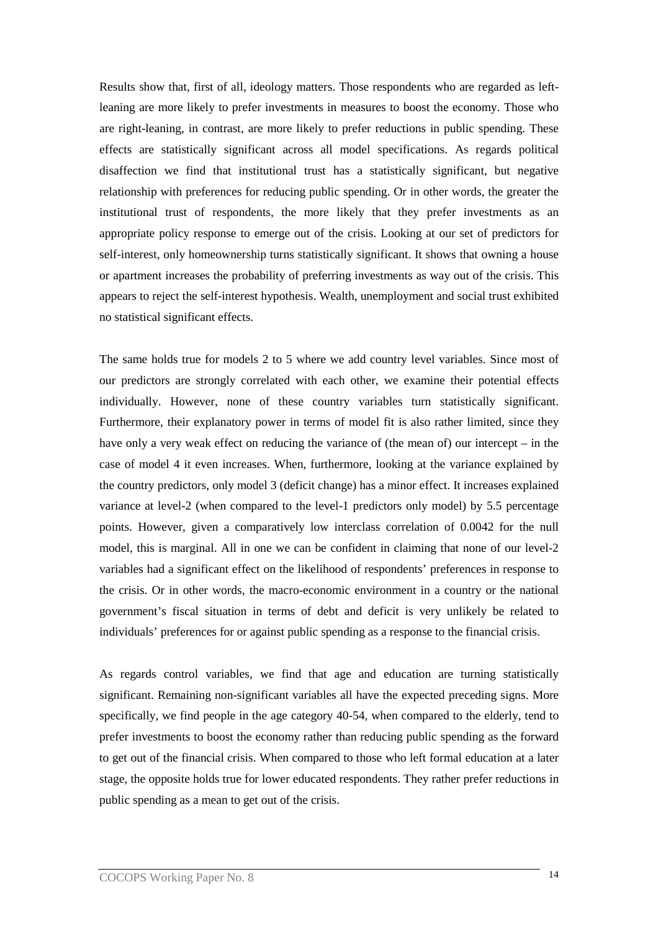Results show that, first of all, ideology matters. Those respondents who are regarded as leftleaning are more likely to prefer investments in measures to boost the economy. Those who are right-leaning, in contrast, are more likely to prefer reductions in public spending. These effects are statistically significant across all model specifications. As regards political disaffection we find that institutional trust has a statistically significant, but negative relationship with preferences for reducing public spending. Or in other words, the greater the institutional trust of respondents, the more likely that they prefer investments as an appropriate policy response to emerge out of the crisis. Looking at our set of predictors for self-interest, only homeownership turns statistically significant. It shows that owning a house or apartment increases the probability of preferring investments as way out of the crisis. This appears to reject the self-interest hypothesis. Wealth, unemployment and social trust exhibited no statistical significant effects.

The same holds true for models 2 to 5 where we add country level variables. Since most of our predictors are strongly correlated with each other, we examine their potential effects individually. However, none of these country variables turn statistically significant. Furthermore, their explanatory power in terms of model fit is also rather limited, since they have only a very weak effect on reducing the variance of (the mean of) our intercept – in the case of model 4 it even increases. When, furthermore, looking at the variance explained by the country predictors, only model 3 (deficit change) has a minor effect. It increases explained variance at level-2 (when compared to the level-1 predictors only model) by 5.5 percentage points. However, given a comparatively low interclass correlation of 0.0042 for the null model, this is marginal. All in one we can be confident in claiming that none of our level-2 variables had a significant effect on the likelihood of respondents' preferences in response to the crisis. Or in other words, the macro-economic environment in a country or the national government's fiscal situation in terms of debt and deficit is very unlikely be related to individuals' preferences for or against public spending as a response to the financial crisis.

As regards control variables, we find that age and education are turning statistically significant. Remaining non-significant variables all have the expected preceding signs. More specifically, we find people in the age category 40-54, when compared to the elderly, tend to prefer investments to boost the economy rather than reducing public spending as the forward to get out of the financial crisis. When compared to those who left formal education at a later stage, the opposite holds true for lower educated respondents. They rather prefer reductions in public spending as a mean to get out of the crisis.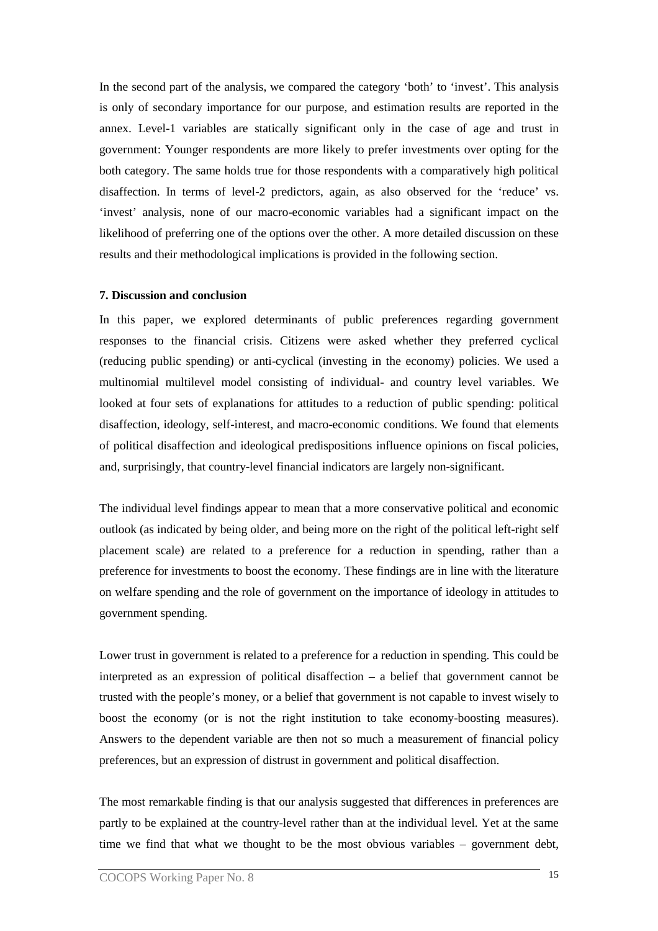In the second part of the analysis, we compared the category 'both' to 'invest'. This analysis is only of secondary importance for our purpose, and estimation results are reported in the annex. Level-1 variables are statically significant only in the case of age and trust in government: Younger respondents are more likely to prefer investments over opting for the both category. The same holds true for those respondents with a comparatively high political disaffection. In terms of level-2 predictors, again, as also observed for the 'reduce' vs. 'invest' analysis, none of our macro-economic variables had a significant impact on the likelihood of preferring one of the options over the other. A more detailed discussion on these results and their methodological implications is provided in the following section.

#### **7. Discussion and conclusion**

In this paper, we explored determinants of public preferences regarding government responses to the financial crisis. Citizens were asked whether they preferred cyclical (reducing public spending) or anti-cyclical (investing in the economy) policies. We used a multinomial multilevel model consisting of individual- and country level variables. We looked at four sets of explanations for attitudes to a reduction of public spending: political disaffection, ideology, self-interest, and macro-economic conditions. We found that elements of political disaffection and ideological predispositions influence opinions on fiscal policies, and, surprisingly, that country-level financial indicators are largely non-significant.

The individual level findings appear to mean that a more conservative political and economic outlook (as indicated by being older, and being more on the right of the political left-right self placement scale) are related to a preference for a reduction in spending, rather than a preference for investments to boost the economy. These findings are in line with the literature on welfare spending and the role of government on the importance of ideology in attitudes to government spending.

Lower trust in government is related to a preference for a reduction in spending. This could be interpreted as an expression of political disaffection – a belief that government cannot be trusted with the people's money, or a belief that government is not capable to invest wisely to boost the economy (or is not the right institution to take economy-boosting measures). Answers to the dependent variable are then not so much a measurement of financial policy preferences, but an expression of distrust in government and political disaffection.

The most remarkable finding is that our analysis suggested that differences in preferences are partly to be explained at the country-level rather than at the individual level. Yet at the same time we find that what we thought to be the most obvious variables – government debt,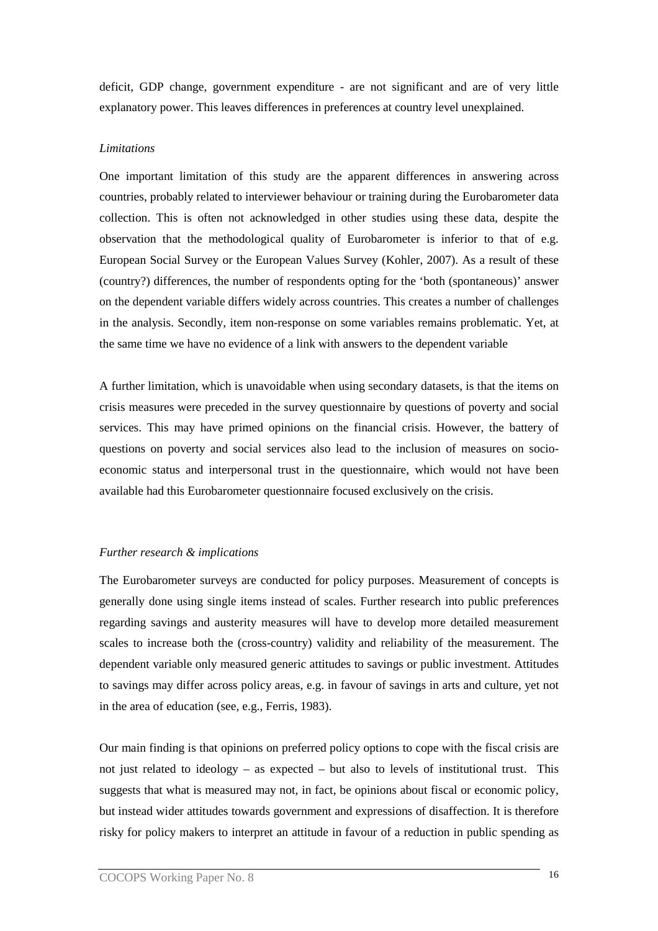deficit, GDP change, government expenditure - are not significant and are of very little explanatory power. This leaves differences in preferences at country level unexplained.

# *Limitations*

One important limitation of this study are the apparent differences in answering across countries, probably related to interviewer behaviour or training during the Eurobarometer data collection. This is often not acknowledged in other studies using these data, despite the observation that the methodological quality of Eurobarometer is inferior to that of e.g. European Social Survey or the European Values Survey (Kohler, 2007). As a result of these (country?) differences, the number of respondents opting for the 'both (spontaneous)' answer on the dependent variable differs widely across countries. This creates a number of challenges in the analysis. Secondly, item non-response on some variables remains problematic. Yet, at the same time we have no evidence of a link with answers to the dependent variable

A further limitation, which is unavoidable when using secondary datasets, is that the items on crisis measures were preceded in the survey questionnaire by questions of poverty and social services. This may have primed opinions on the financial crisis. However, the battery of questions on poverty and social services also lead to the inclusion of measures on socioeconomic status and interpersonal trust in the questionnaire, which would not have been available had this Eurobarometer questionnaire focused exclusively on the crisis.

#### *Further research & implications*

The Eurobarometer surveys are conducted for policy purposes. Measurement of concepts is generally done using single items instead of scales. Further research into public preferences regarding savings and austerity measures will have to develop more detailed measurement scales to increase both the (cross-country) validity and reliability of the measurement. The dependent variable only measured generic attitudes to savings or public investment. Attitudes to savings may differ across policy areas, e.g. in favour of savings in arts and culture, yet not in the area of education (see, e.g., Ferris, 1983).

Our main finding is that opinions on preferred policy options to cope with the fiscal crisis are not just related to ideology – as expected – but also to levels of institutional trust. This suggests that what is measured may not, in fact, be opinions about fiscal or economic policy, but instead wider attitudes towards government and expressions of disaffection. It is therefore risky for policy makers to interpret an attitude in favour of a reduction in public spending as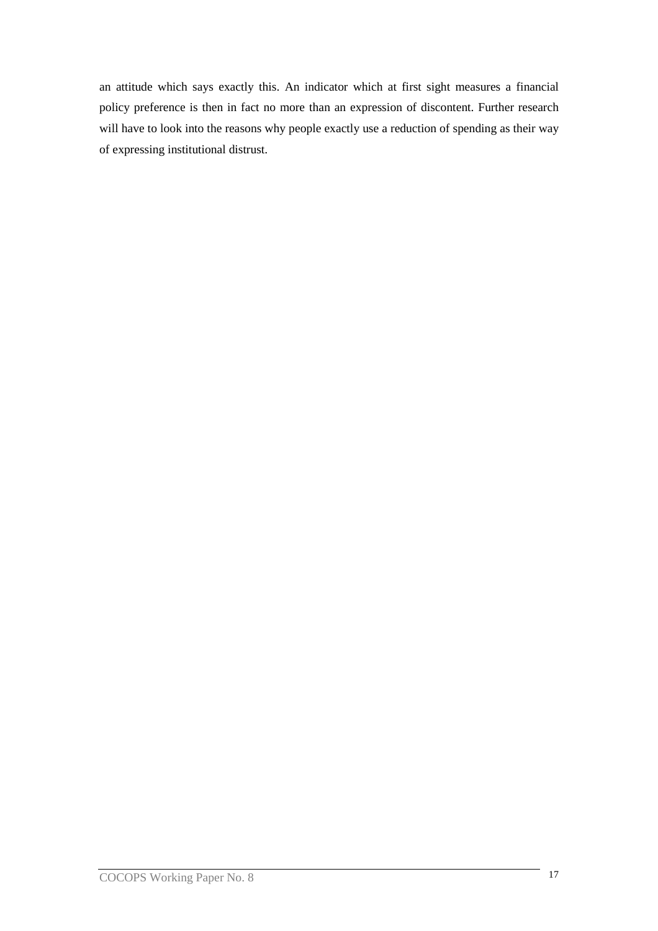an attitude which says exactly this. An indicator which at first sight measures a financial policy preference is then in fact no more than an expression of discontent. Further research will have to look into the reasons why people exactly use a reduction of spending as their way of expressing institutional distrust.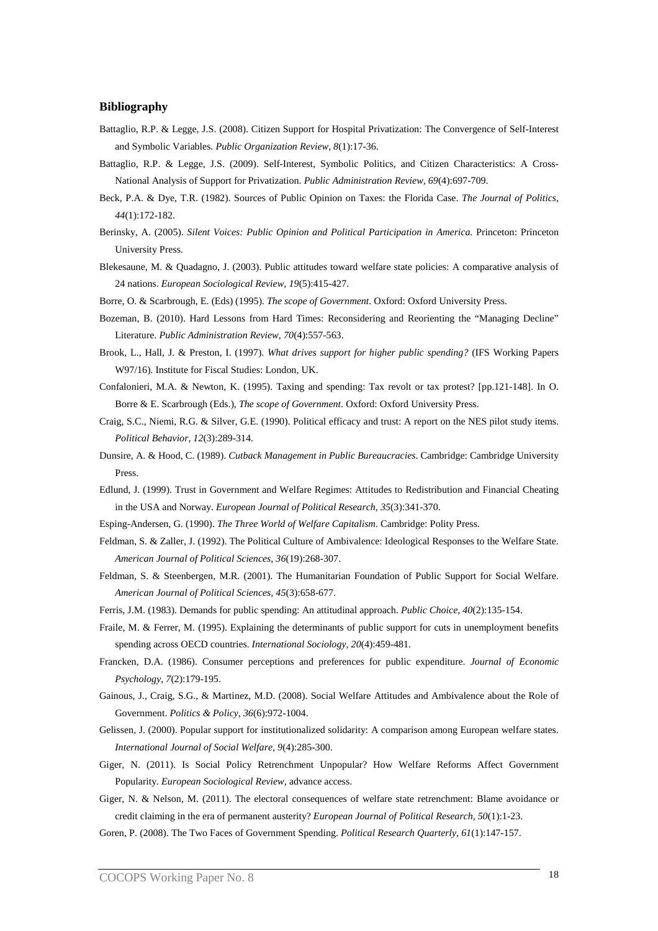#### **Bibliography**

- Battaglio, R.P. & Legge, J.S. (2008). Citizen Support for Hospital Privatization: The Convergence of Self-Interest and Symbolic Variables. *Public Organization Review, 8*(1):17-36.
- Battaglio, R.P. & Legge, J.S. (2009). Self-Interest, Symbolic Politics, and Citizen Characteristics: A Cross-National Analysis of Support for Privatization. *Public Administration Review, 69*(4):697-709.
- Beck, P.A. & Dye, T.R. (1982). Sources of Public Opinion on Taxes: the Florida Case. *The Journal of Politics*, *44*(1):172-182.
- Berinsky, A. (2005). *Silent Voices: Public Opinion and Political Participation in America.* Princeton: Princeton University Press.
- Blekesaune, M. & Quadagno, J. (2003). Public attitudes toward welfare state policies: A comparative analysis of 24 nations. *European Sociological Review*, *19*(5):415-427.
- Borre, O. & Scarbrough, E. (Eds) (1995). *The scope of Government*. Oxford: Oxford University Press.
- Bozeman, B. (2010). Hard Lessons from Hard Times: Reconsidering and Reorienting the "Managing Decline" Literature. *Public Administration Review*, *70*(4):557-563.
- Brook, L., Hall, J. & Preston, I. (1997). *What drives support for higher public spending?* (IFS Working Papers W97/16). Institute for Fiscal Studies: London, UK.
- Confalonieri, M.A. & Newton, K. (1995). Taxing and spending: Tax revolt or tax protest? [pp.121-148]. In O. Borre & E. Scarbrough (Eds.), *The scope of Government*. Oxford: Oxford University Press.
- Craig, S.C., Niemi, R.G. & Silver, G.E. (1990). Political efficacy and trust: A report on the NES pilot study items. *Political Behavior*, *12*(3):289-314.
- Dunsire, A. & Hood, C. (1989). *Cutback Management in Public Bureaucracies*. Cambridge: Cambridge University Press.
- Edlund, J. (1999). Trust in Government and Welfare Regimes: Attitudes to Redistribution and Financial Cheating in the USA and Norway. *European Journal of Political Research, 35*(3):341-370.
- Esping-Andersen, G. (1990). *The Three World of Welfare Capitalism*. Cambridge: Polity Press.
- Feldman, S. & Zaller, J. (1992). The Political Culture of Ambivalence: Ideological Responses to the Welfare State. *American Journal of Political Sciences, 36*(19):268-307.
- Feldman, S. & Steenbergen, M.R. (2001). The Humanitarian Foundation of Public Support for Social Welfare. *American Journal of Political Sciences*, *45*(3):658-677.
- Ferris, J.M. (1983). Demands for public spending: An attitudinal approach. *Public Choice, 40*(2):135-154.
- Fraile, M. & Ferrer, M. (1995). Explaining the determinants of public support for cuts in unemployment benefits spending across OECD countries. *International Sociology*, *20*(4):459-481.
- Francken, D.A. (1986). Consumer perceptions and preferences for public expenditure. *Journal of Economic Psychology*, *7*(2):179-195.
- Gainous, J., Craig, S.G., & Martinez, M.D. (2008). Social Welfare Attitudes and Ambivalence about the Role of Government. *Politics & Policy, 36*(6):972-1004.
- Gelissen, J. (2000). Popular support for institutionalized solidarity: A comparison among European welfare states. *International Journal of Social Welfare, 9*(4):285-300.
- Giger, N. (2011). Is Social Policy Retrenchment Unpopular? How Welfare Reforms Affect Government Popularity. *European Sociological Review*, advance access.
- Giger, N. & Nelson, M. (2011). The electoral consequences of welfare state retrenchment: Blame avoidance or credit claiming in the era of permanent austerity? *European Journal of Political Research, 50*(1):1-23.
- Goren, P. (2008). The Two Faces of Government Spending. *Political Research Quarterly, 61*(1):147-157.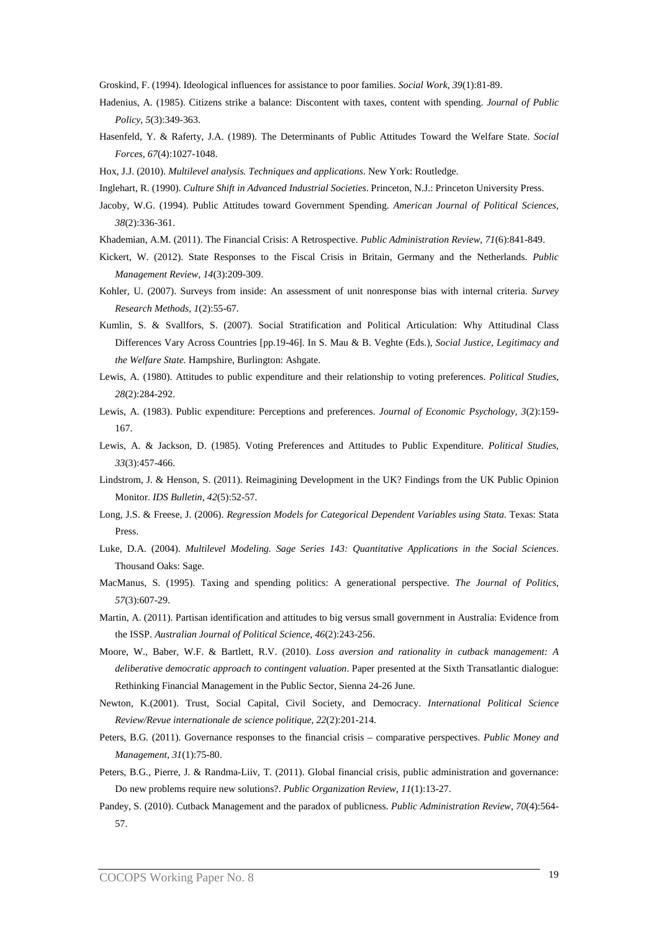Groskind, F. (1994). Ideological influences for assistance to poor families. *Social Work, 39*(1):81-89.

- Hadenius, A. (1985). Citizens strike a balance: Discontent with taxes, content with spending. *Journal of Public Policy, 5*(3):349-363.
- Hasenfeld, Y. & Raferty, J.A. (1989). The Determinants of Public Attitudes Toward the Welfare State. *Social Forces, 67*(4):1027-1048.
- Hox, J.J. (2010). *Multilevel analysis. Techniques and applications*. New York: Routledge.
- Inglehart, R. (1990). *Culture Shift in Advanced Industrial Societies*. Princeton, N.J.: Princeton University Press.
- Jacoby, W.G. (1994). Public Attitudes toward Government Spending. *American Journal of Political Sciences, 38*(2):336-361.
- Khademian, A.M. (2011). The Financial Crisis: A Retrospective. *Public Administration Review, 71*(6):841-849.
- Kickert, W. (2012). State Responses to the Fiscal Crisis in Britain, Germany and the Netherlands. *Public Management Review, 14*(3):209-309.
- Kohler, U. (2007). Surveys from inside: An assessment of unit nonresponse bias with internal criteria. *Survey Research Methods, 1*(2):55-67.
- Kumlin, S. & Svallfors, S. (2007). Social Stratification and Political Articulation: Why Attitudinal Class Differences Vary Across Countries [pp.19-46]. In S. Mau & B. Veghte (Eds.), *Social Justice, Legitimacy and the Welfare State.* Hampshire, Burlington: Ashgate.
- Lewis, A. (1980). Attitudes to public expenditure and their relationship to voting preferences. *Political Studies, 28*(2):284-292.
- Lewis, A. (1983). Public expenditure: Perceptions and preferences. *Journal of Economic Psychology, 3*(2):159- 167.
- Lewis, A. & Jackson, D. (1985). Voting Preferences and Attitudes to Public Expenditure. *Political Studies, 33*(3):457-466.
- Lindstrom, J. & Henson, S. (2011). Reimagining Development in the UK? Findings from the UK Public Opinion Monitor. *IDS Bulletin, 42*(5):52-57.
- Long, J.S. & Freese, J. (2006). *Regression Models for Categorical Dependent Variables using Stata*. Texas: Stata Press.
- Luke, D.A. (2004). *Multilevel Modeling. Sage Series 143: Quantitative Applications in the Social Sciences*. Thousand Oaks: Sage.
- MacManus, S. (1995). Taxing and spending politics: A generational perspective. *The Journal of Politics, 57*(3):607-29.
- Martin, A. (2011). Partisan identification and attitudes to big versus small government in Australia: Evidence from the ISSP. *Australian Journal of Political Science, 46*(2):243-256.
- Moore, W., Baber, W.F. & Bartlett, R.V. (2010). *Loss aversion and rationality in cutback management: A deliberative democratic approach to contingent valuation*. Paper presented at the Sixth Transatlantic dialogue: Rethinking Financial Management in the Public Sector, Sienna 24-26 June.
- Newton, K.(2001). Trust, Social Capital, Civil Society, and Democracy. *International Political Science Review/Revue internationale de science politique, 22*(2):201-214.
- Peters, B.G. (2011). Governance responses to the financial crisis comparative perspectives. *Public Money and Management, 31*(1):75-80.
- Peters, B.G., Pierre, J. & Randma-Liiv, T. (2011). Global financial crisis, public administration and governance: Do new problems require new solutions?. *Public Organization Review, 11*(1):13-27.
- Pandey, S. (2010). Cutback Management and the paradox of publicness. *Public Administration Review, 70*(4):564- 57.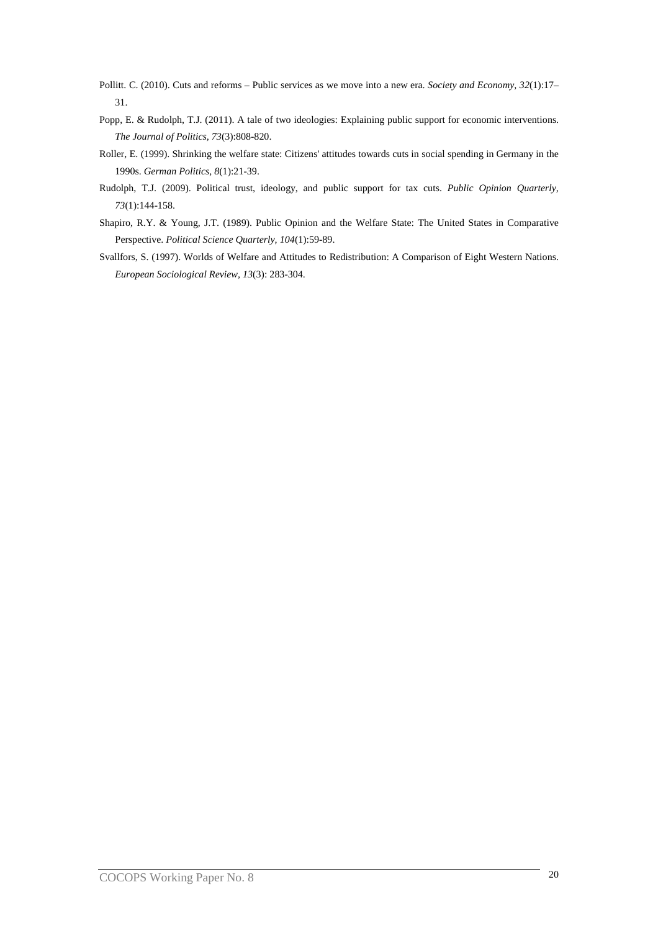- Pollitt. C. (2010). Cuts and reforms Public services as we move into a new era. *Society and Economy, 32*(1):17– 31.
- Popp, E. & Rudolph, T.J. (2011). A tale of two ideologies: Explaining public support for economic interventions. *The Journal of Politics, 73*(3):808-820.
- Roller, E. (1999). Shrinking the welfare state: Citizens' attitudes towards cuts in social spending in Germany in the 1990s. *German Politics, 8*(1):21-39.
- Rudolph, T.J. (2009). Political trust, ideology, and public support for tax cuts. *Public Opinion Quarterly, 73*(1):144-158.
- Shapiro, R.Y. & Young, J.T. (1989). Public Opinion and the Welfare State: The United States in Comparative Perspective. *Political Science Quarterly, 104*(1):59-89.
- Svallfors, S. (1997). Worlds of Welfare and Attitudes to Redistribution: A Comparison of Eight Western Nations. *European Sociological Review, 13*(3): 283-304.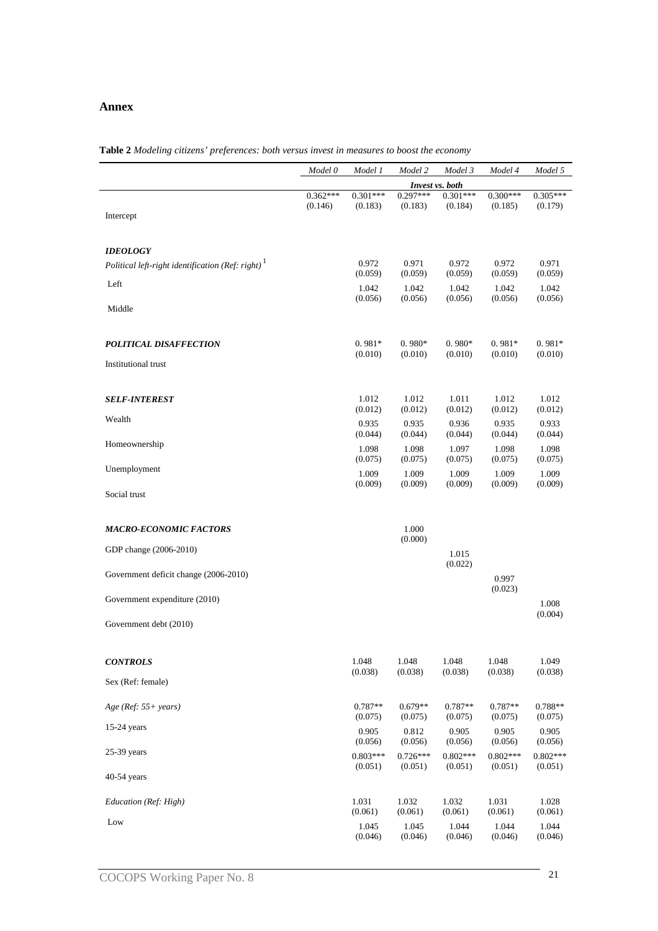# **Annex**

|                                                       | Model 0               | Model 1               | Model 2               | Model 3               | Model 4               | Model 5               |
|-------------------------------------------------------|-----------------------|-----------------------|-----------------------|-----------------------|-----------------------|-----------------------|
|                                                       |                       | Invest vs. both       |                       |                       |                       |                       |
|                                                       | $0.362***$<br>(0.146) | $0.301***$<br>(0.183) | $0.297***$<br>(0.183) | $0.301***$<br>(0.184) | $0.300***$<br>(0.185) | $0.305***$<br>(0.179) |
| Intercept                                             |                       |                       |                       |                       |                       |                       |
|                                                       |                       |                       |                       |                       |                       |                       |
| <b>IDEOLOGY</b>                                       |                       |                       |                       |                       |                       |                       |
| Political left-right identification (Ref: right) $^1$ |                       | 0.972                 | 0.971                 | 0.972                 | 0.972                 | 0.971                 |
| Left                                                  |                       | (0.059)               | (0.059)               | (0.059)               | (0.059)               | (0.059)               |
|                                                       |                       | 1.042<br>(0.056)      | 1.042<br>(0.056)      | 1.042<br>(0.056)      | 1.042<br>(0.056)      | 1.042<br>(0.056)      |
| Middle                                                |                       |                       |                       |                       |                       |                       |
|                                                       |                       |                       |                       |                       |                       |                       |
| <b>POLITICAL DISAFFECTION</b>                         |                       | $0.981*$              | $0.980*$              | $0.980*$              | $0.981*$              | $0.981*$              |
| Institutional trust                                   |                       | (0.010)               | (0.010)               | (0.010)               | (0.010)               | (0.010)               |
|                                                       |                       |                       |                       |                       |                       |                       |
|                                                       |                       |                       |                       |                       |                       |                       |
| <b>SELF-INTEREST</b>                                  |                       | 1.012<br>(0.012)      | 1.012<br>(0.012)      | 1.011<br>(0.012)      | 1.012<br>(0.012)      | 1.012<br>(0.012)      |
| Wealth                                                |                       | 0.935                 | 0.935                 | 0.936                 | 0.935                 | 0.933                 |
| Homeownership                                         |                       | (0.044)               | (0.044)               | (0.044)               | (0.044)               | (0.044)               |
|                                                       |                       | 1.098<br>(0.075)      | 1.098<br>(0.075)      | 1.097<br>(0.075)      | 1.098<br>(0.075)      | 1.098<br>(0.075)      |
| Unemployment                                          |                       | 1.009                 | 1.009                 | 1.009                 | 1.009                 | 1.009                 |
|                                                       |                       | (0.009)               | (0.009)               | (0.009)               | (0.009)               | (0.009)               |
| Social trust                                          |                       |                       |                       |                       |                       |                       |
|                                                       |                       |                       |                       |                       |                       |                       |
| <b>MACRO-ECONOMIC FACTORS</b>                         |                       |                       | 1.000<br>(0.000)      |                       |                       |                       |
| GDP change (2006-2010)                                |                       |                       |                       | 1.015                 |                       |                       |
|                                                       |                       |                       |                       | (0.022)               |                       |                       |
| Government deficit change (2006-2010)                 |                       |                       |                       |                       | 0.997                 |                       |
| Government expenditure (2010)                         |                       |                       |                       |                       | (0.023)               | 1.008                 |
|                                                       |                       |                       |                       |                       |                       | (0.004)               |
| Government debt (2010)                                |                       |                       |                       |                       |                       |                       |
|                                                       |                       |                       |                       |                       |                       |                       |
| <b>CONTROLS</b>                                       |                       | 1.048                 | 1.048                 | 1.048                 | 1.048                 | 1.049                 |
| Sex (Ref: female)                                     |                       | (0.038)               | (0.038)               | (0.038)               | (0.038)               | (0.038)               |
|                                                       |                       |                       |                       |                       |                       |                       |
| Age (Ref: 55+ years)                                  |                       | $0.787**$             | $0.679**$             | $0.787**$             | $0.787**$             | 0.788**               |
| 15-24 years                                           |                       | (0.075)               | (0.075)               | (0.075)               | (0.075)               | (0.075)               |
|                                                       |                       | 0.905<br>(0.056)      | 0.812<br>(0.056)      | 0.905<br>(0.056)      | 0.905<br>(0.056)      | 0.905<br>(0.056)      |
| 25-39 years                                           |                       | $0.803***$            | $0.726***$            | $0.802***$            | $0.802***$            | $0.802***$            |
| 40-54 years                                           |                       | (0.051)               | (0.051)               | (0.051)               | (0.051)               | (0.051)               |
|                                                       |                       |                       |                       |                       |                       |                       |
| Education (Ref: High)                                 |                       | 1.031                 | 1.032                 | 1.032                 | 1.031                 | 1.028                 |
| Low                                                   |                       | (0.061)               | (0.061)               | (0.061)               | (0.061)               | (0.061)               |
|                                                       |                       | 1.045<br>(0.046)      | 1.045<br>(0.046)      | 1.044<br>(0.046)      | 1.044<br>(0.046)      | 1.044<br>(0.046)      |

**Table 2** *Modeling citizens' preferences: both versus invest in measures to boost the economy*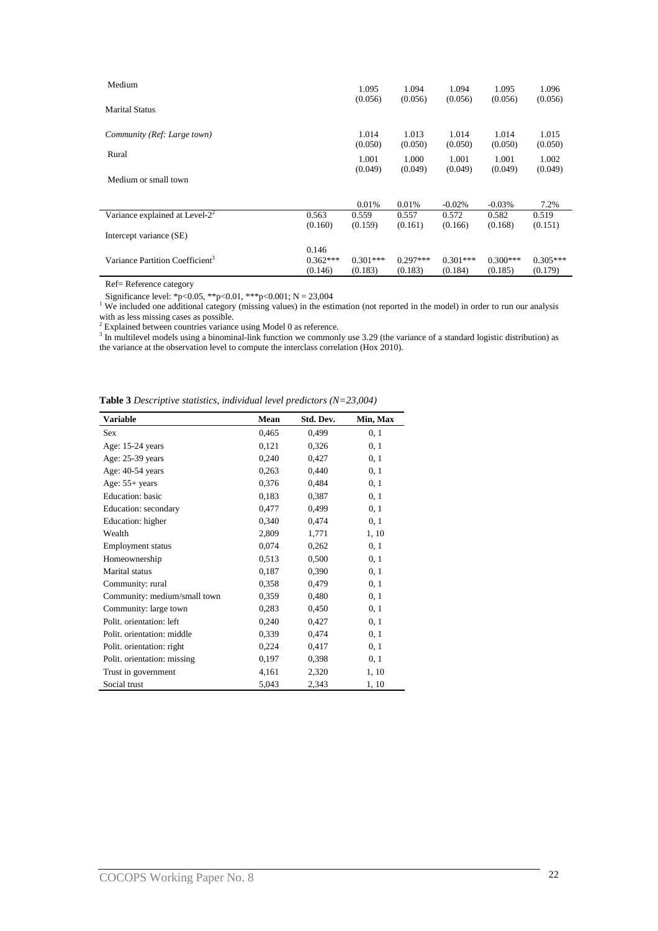| Medium                                      |            | 1.095            | 1.094            | 1.094            | 1.095            | 1.096            |
|---------------------------------------------|------------|------------------|------------------|------------------|------------------|------------------|
|                                             |            | (0.056)          | (0.056)          | (0.056)          | (0.056)          | (0.056)          |
| <b>Marital Status</b>                       |            |                  |                  |                  |                  |                  |
|                                             |            |                  |                  |                  |                  |                  |
| Community (Ref: Large town)                 |            | 1.014<br>(0.050) | 1.013<br>(0.050) | 1.014<br>(0.050) | 1.014<br>(0.050) | 1.015<br>(0.050) |
| Rural                                       |            |                  |                  |                  |                  |                  |
|                                             |            | 1.001<br>(0.049) | 1.000<br>(0.049) | 1.001<br>(0.049) | 1.001<br>(0.049) | 1.002<br>(0.049) |
| Medium or small town                        |            |                  |                  |                  |                  |                  |
|                                             |            |                  |                  |                  |                  |                  |
|                                             |            | 0.01%            | 0.01%            | $-0.02%$         | $-0.03%$         | 7.2%             |
| Variance explained at Level- $22$           | 0.563      | 0.559            | 0.557            | 0.572            | 0.582            | 0.519            |
|                                             | (0.160)    | (0.159)          | (0.161)          | (0.166)          | (0.168)          | (0.151)          |
| Intercept variance (SE)                     |            |                  |                  |                  |                  |                  |
|                                             | 0.146      |                  |                  |                  |                  |                  |
| Variance Partition Coefficient <sup>3</sup> | $0.362***$ | $0.301***$       | $0.297***$       | $0.301***$       | $0.300***$       | $0.305***$       |
|                                             | (0.146)    | (0.183)          | (0.183)          | (0.184)          | (0.185)          | (0.179)          |

Ref= Reference category

Significance level: \*p<0.05, \*\*p<0.01, \*\*\*p<0.001; N = 23,004<br><sup>1</sup> We included one additional category (missing values) in the estimation (not reported in the model) in order to run our analysis with as less missing cases as possible.<br><sup>2</sup> Explained between countries variance using Model 0 as reference.<br><sup>3</sup> In multilevel models using a binominal-link function we commonly use 3.29 (the variance of a standard logisti

the variance at the observation level to compute the interclass correlation (Hox 2010).

| Variable                     | Mean  | Std. Dev. | Min, Max |
|------------------------------|-------|-----------|----------|
| <b>Sex</b>                   | 0.465 | 0,499     | 0, 1     |
| Age: 15-24 years             | 0,121 | 0,326     | 0, 1     |
| Age: 25-39 years             | 0,240 | 0,427     | 0, 1     |
| Age: 40-54 years             | 0,263 | 0,440     | 0, 1     |
| Age: $55+$ years             | 0,376 | 0,484     | 0, 1     |
| <b>Education</b> : basic     | 0.183 | 0,387     | 0, 1     |
| Education: secondary         | 0.477 | 0,499     | 0, 1     |
| Education: higher            | 0,340 | 0,474     | 0, 1     |
| Wealth                       | 2,809 | 1,771     | 1, 10    |
| <b>Employment status</b>     | 0,074 | 0,262     | 0, 1     |
| Homeownership                | 0,513 | 0,500     | 0, 1     |
| Marital status               | 0,187 | 0,390     | 0, 1     |
| Community: rural             | 0,358 | 0,479     | 0, 1     |
| Community: medium/small town | 0,359 | 0,480     | 0, 1     |
| Community: large town        | 0,283 | 0,450     | 0, 1     |
| Polit. orientation: left     | 0,240 | 0,427     | 0, 1     |
| Polit. orientation: middle   | 0,339 | 0,474     | 0, 1     |
| Polit. orientation: right    | 0,224 | 0,417     | 0, 1     |
| Polit. orientation: missing  | 0.197 | 0,398     | 0, 1     |
| Trust in government          | 4,161 | 2,320     | 1, 10    |
| Social trust                 | 5,043 | 2,343     | 1, 10    |

**Table 3** *Descriptive statistics, individual level predictors (N=23,004)*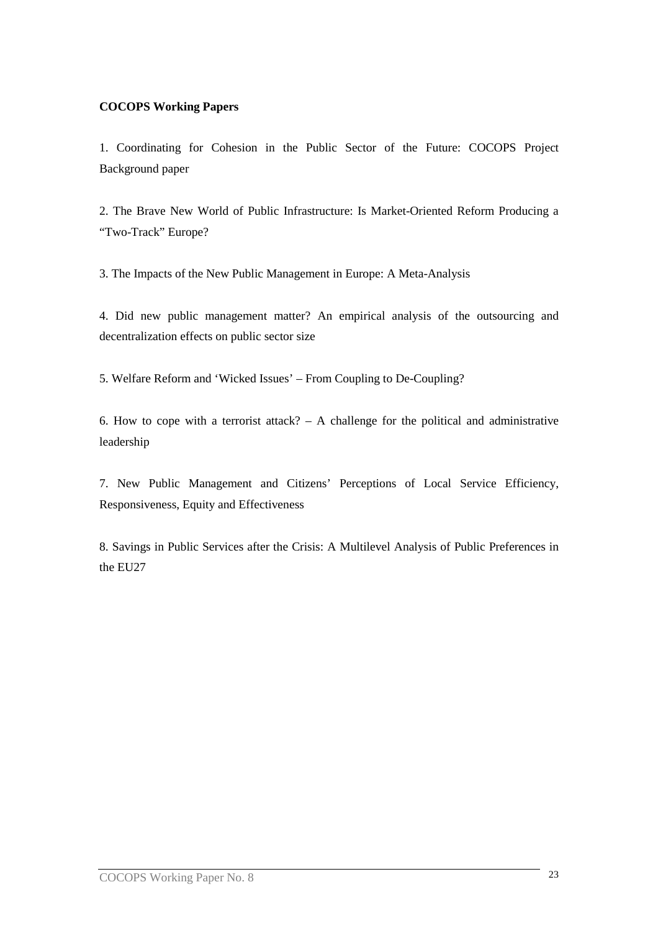# **COCOPS Working Papers**

1. Coordinating for Cohesion in the Public Sector of the Future: COCOPS Project Background paper

2. The Brave New World of Public Infrastructure: Is Market-Oriented Reform Producing a "Two-Track" Europe?

3. The Impacts of the New Public Management in Europe: A Meta-Analysis

4. Did new public management matter? An empirical analysis of the outsourcing and decentralization effects on public sector size

5. Welfare Reform and 'Wicked Issues' – From Coupling to De-Coupling?

6. How to cope with a terrorist attack? – A challenge for the political and administrative leadership

7. New Public Management and Citizens' Perceptions of Local Service Efficiency, Responsiveness, Equity and Effectiveness

8. Savings in Public Services after the Crisis: A Multilevel Analysis of Public Preferences in the EU27